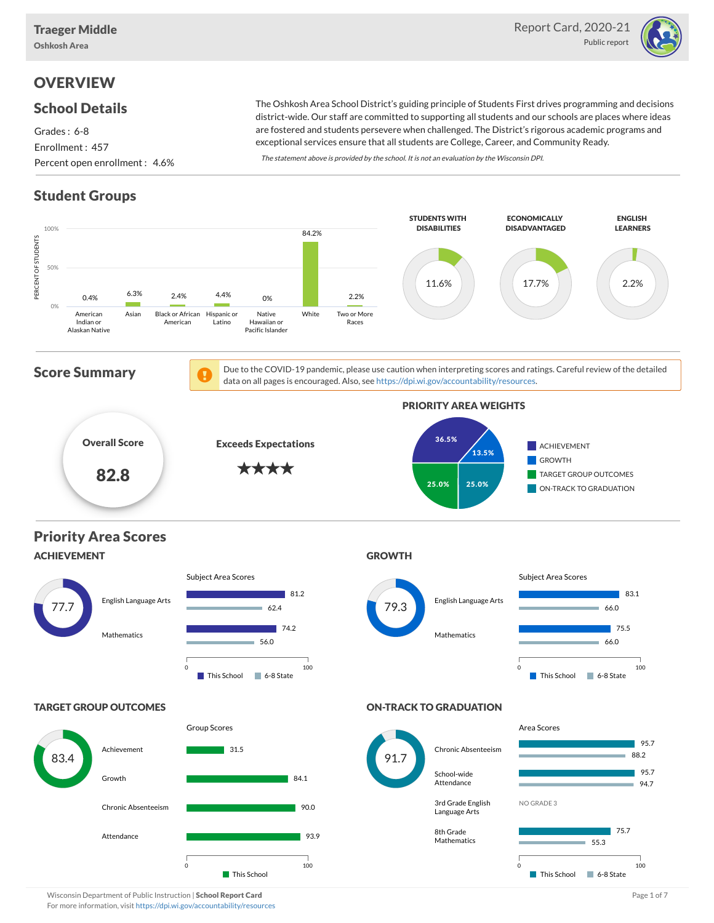Oshkosh Area



# **OVERVIEW**

### School Details

Grades : 6-8 Enrollment : 457 Percent open enrollment : 4.6%

The Oshkosh Area School District's guiding principle of Students First drives programming and decisions district-wide. Our staff are committed to supporting all students and our schools are places where ideas are fostered and students persevere when challenged. The District's rigorous academic programs and exceptional services ensure that all students are College, Career, and Community Ready.

The statement above is provided by the school. It is not an evaluation by the Wisconsin DPI.

## Student Groups



Wisconsin Department of Public Instruction | School Report Card Page 1 of 7 and 2008 and 2008 and Page 1 of 7 For more information, visit <https://dpi.wi.gov/accountability/resources>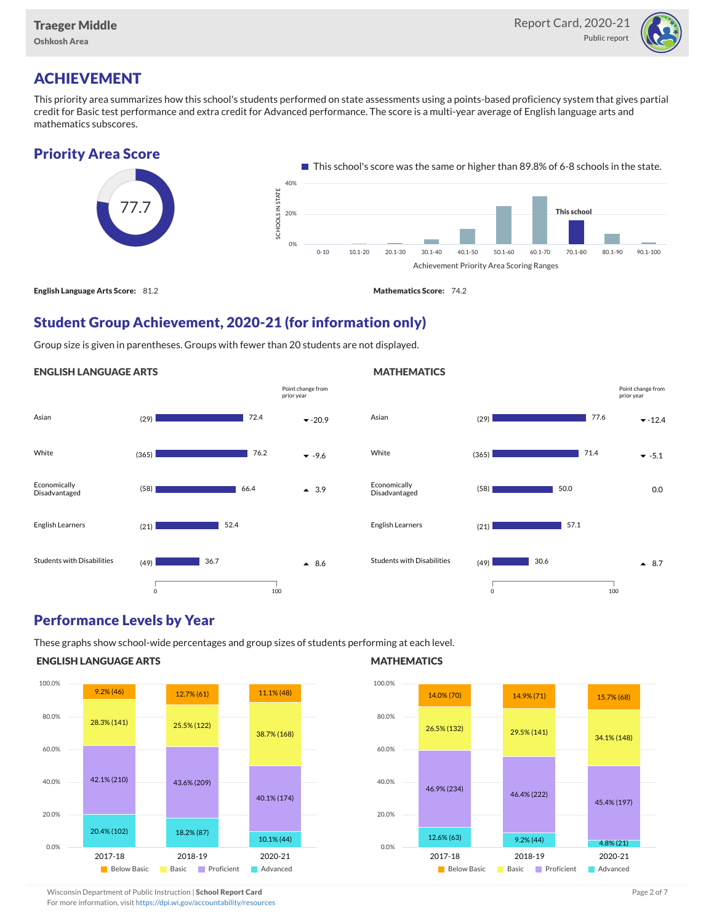

# ACHIEVEMENT

This priority area summarizes how this school's students performed on state assessments using a points-based proficiency system that gives partial credit for Basic test performance and extra credit for Advanced performance. The score is a multi-year average of English language arts and mathematics subscores.

### Priority Area Score



## Student Group Achievement, 2020-21 (for information only)

Group size is given in parentheses. Groups with fewer than 20 students are not displayed.

#### ENGLISH LANGUAGE ARTS





### Performance Levels by Year

These graphs show school-wide percentages and group sizes of students performing at each level.

#### ENGLISH LANGUAGE ARTS



#### **MATHEMATICS**



Wisconsin Department of Public Instruction | School Report Card Page 2 of 7 and 2008 and 2009 and 2 of 7 and 2 of 7

For more information, visit <https://dpi.wi.gov/accountability/resources>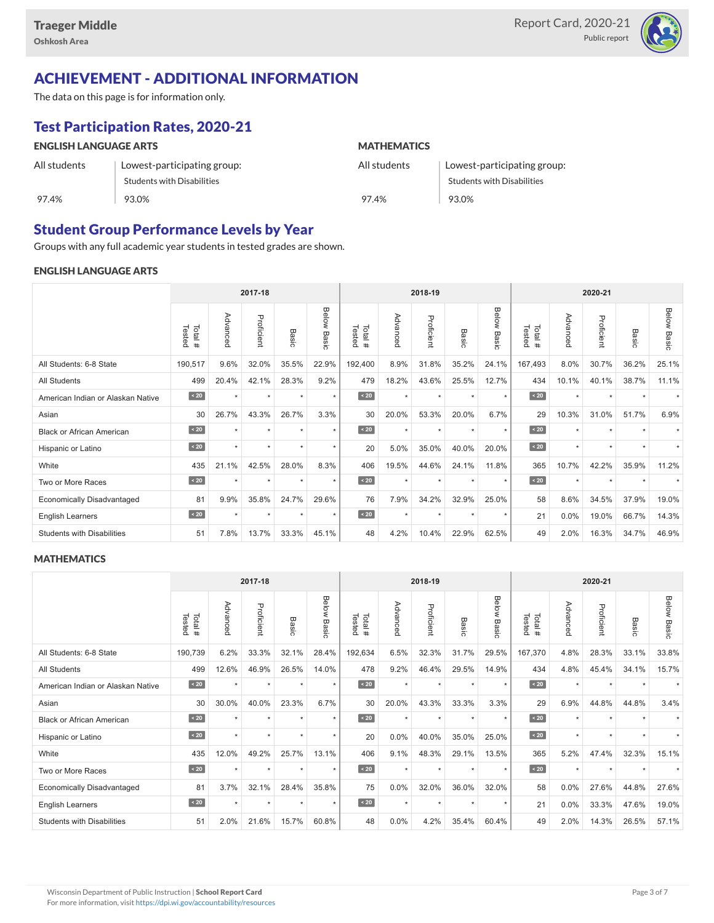

## ACHIEVEMENT - ADDITIONAL INFORMATION

The data on this page is for information only.

# Test Participation Rates, 2020-21

| <b>ENGLISH LANGUAGE ARTS</b> |                                   | <b>MATHEMATICS</b> |                                   |  |  |  |  |
|------------------------------|-----------------------------------|--------------------|-----------------------------------|--|--|--|--|
| All students                 | Lowest-participating group:       | All students       | Lowest-participating group:       |  |  |  |  |
|                              | <b>Students with Disabilities</b> |                    | <b>Students with Disabilities</b> |  |  |  |  |
| 97.4%                        | 93.0%                             | 97.4%              | 93.0%                             |  |  |  |  |

### Student Group Performance Levels by Year

Groups with any full academic year students in tested grades are shown.

#### ENGLISH LANGUAGE ARTS

|                                   |                  |          | 2017-18    |         |                    |                   |          | 2018-19    |           |                |                  |          | 2020-21    |                      |                    |  |  |  |  |
|-----------------------------------|------------------|----------|------------|---------|--------------------|-------------------|----------|------------|-----------|----------------|------------------|----------|------------|----------------------|--------------------|--|--|--|--|
|                                   | Tested<br>Total# | Advanced | Proficient | Basic   | <b>Below Basic</b> | Tested<br>Total # | Advanced | Proficient | Basic     | Below<br>Basic | Tested<br>Total# | Advanced | Proficient | Basic                | <b>Below Basic</b> |  |  |  |  |
| All Students: 6-8 State           | 190,517          | 9.6%     | 32.0%      | 35.5%   | 22.9%              | 192,400           | 8.9%     | 31.8%      | 35.2%     | 24.1%          | 167,493          | 8.0%     | 30.7%      | 36.2%                | 25.1%              |  |  |  |  |
| All Students                      | 499              | 20.4%    | 42.1%      | 28.3%   | 9.2%               | 479               | 18.2%    | 43.6%      | 25.5%     | 12.7%          | 434              | 10.1%    | 40.1%      | 38.7%                | 11.1%              |  |  |  |  |
| American Indian or Alaskan Native | $\angle 20$      | $\star$  | $\star$    | ٠       | $\star$            | $\angle 20$       | $\star$  | $\star$    | $\star$   | $\star$        | $\sim 20$        | $\star$  | $\star$    |                      |                    |  |  |  |  |
| Asian                             | 30               | 26.7%    | 43.3%      | 26.7%   | 3.3%               | 30                | 20.0%    | 53.3%      | 20.0%     | 6.7%           | 29               | 10.3%    | 31.0%      | 51.7%                | 6.9%               |  |  |  |  |
| <b>Black or African American</b>  | $\sim 20$        | $\star$  | $\star$    |         | $\star$            | $\sim 20$         | $\star$  | $\star$    | $\star$   | $\star$        | $\sim 20$        | $\star$  | $\star$    |                      |                    |  |  |  |  |
| Hispanic or Latino                | $\angle 20$      | ٠        | $\star$    | $\star$ | $\star$            | 20                | 5.0%     | 35.0%      | 40.0%     | 20.0%          | $\sim 20$        | $\star$  | $\star$    | $\ddot{\phantom{1}}$ |                    |  |  |  |  |
| White                             | 435              | 21.1%    | 42.5%      | 28.0%   | 8.3%               | 406               | 19.5%    | 44.6%      | 24.1%     | 11.8%          | 365              | 10.7%    | 42.2%      | 35.9%                | 11.2%              |  |  |  |  |
| Two or More Races                 | $\sim 20$        |          | ٠          | ٠       | $\star$            | $\sim 20$         | $\star$  | $\star$    | $\ddot{}$ | ٠              | $\sim 20$        | $\star$  | ٠          |                      |                    |  |  |  |  |
| <b>Economically Disadvantaged</b> | 81               | 9.9%     | 35.8%      | 24.7%   | 29.6%              | 76                | 7.9%     | 34.2%      | 32.9%     | 25.0%          | 58               | 8.6%     | 34.5%      | 37.9%                | 19.0%              |  |  |  |  |
| <b>English Learners</b>           | $\sim 20$        | $\star$  | $\star$    | $\star$ | $^\star$           | $\sim 20$         | $\star$  | $\star$    | $\star$   | $\star$        | 21               | 0.0%     | 19.0%      | 66.7%                | 14.3%              |  |  |  |  |
| <b>Students with Disabilities</b> | 51               | 7.8%     | 13.7%      | 33.3%   | 45.1%              | 48                | 4.2%     | 10.4%      | 22.9%     | 62.5%          | 49               | 2.0%     | 16.3%      | 34.7%                | 46.9%              |  |  |  |  |

#### **MATHEMATICS**

|                                   |                  |           | 2017-18    |         |                |                  |          | 2018-19    |           |                      |                  |          | 2020-21    |       |                    |  |  |  |  |
|-----------------------------------|------------------|-----------|------------|---------|----------------|------------------|----------|------------|-----------|----------------------|------------------|----------|------------|-------|--------------------|--|--|--|--|
|                                   | Tested<br>Total# | Advanced  | Proficient | Basic   | Below<br>Basic | Tested<br>Total# | Advanced | Proficient | Basic     | Below<br>Basic       | Tested<br>Total# | Advanced | Proficient | Basic | <b>Below Basic</b> |  |  |  |  |
| All Students: 6-8 State           | 190,739          | 6.2%      | 33.3%      | 32.1%   | 28.4%          | 192,634          | 6.5%     | 32.3%      | 31.7%     | 29.5%                | 167,370          | 4.8%     | 28.3%      | 33.1% | 33.8%              |  |  |  |  |
| <b>All Students</b>               | 499              | 12.6%     | 46.9%      | 26.5%   | 14.0%          | 478              | 9.2%     | 46.4%      | 29.5%     | 14.9%                | 434              | 4.8%     | 45.4%      | 34.1% | 15.7%              |  |  |  |  |
| American Indian or Alaskan Native | $\angle 20$      | $\ddot{}$ | $\star$    | ٠       | $\star$        | $\angle 20$      | $\star$  | $\star$    | $\ddot{}$ | $\star$              | $\angle 20$      | $\star$  | $\star$    |       |                    |  |  |  |  |
| Asian                             | 30               | 30.0%     | 40.0%      | 23.3%   | 6.7%           | 30               | 20.0%    | 43.3%      | 33.3%     | 3.3%                 | 29               | 6.9%     | 44.8%      | 44.8% | 3.4%               |  |  |  |  |
| <b>Black or African American</b>  | $\sim 20$        | $\star$   | $\star$    | ÷       | $\star$        | $\angle 20$      | $\star$  | $\star$    | $\star$   | $\star$              | $\sim 20$        | $\star$  | $\star$    |       |                    |  |  |  |  |
| Hispanic or Latino                | $\angle 20$      | $\ddot{}$ | $\star$    | $\star$ | $\star$        | 20               | 0.0%     | 40.0%      | 35.0%     | 25.0%                | $\angle 20$      | $\star$  | $\star$    |       |                    |  |  |  |  |
| White                             | 435              | 12.0%     | 49.2%      | 25.7%   | 13.1%          | 406              | 9.1%     | 48.3%      | 29.1%     | 13.5%                | 365              | 5.2%     | 47.4%      | 32.3% | 15.1%              |  |  |  |  |
| Two or More Races                 | $\sim 20$        | $\ddot{}$ | $\star$    | $\star$ | $\star$        | $\sim 20$        | $\star$  | $\star$    | $\ddot{}$ | $\ddot{\phantom{1}}$ | $\angle 20$      | $\star$  | ٠          |       |                    |  |  |  |  |
| <b>Economically Disadvantaged</b> | 81               | 3.7%      | 32.1%      | 28.4%   | 35.8%          | 75               | 0.0%     | 32.0%      | 36.0%     | 32.0%                | 58               | 0.0%     | 27.6%      | 44.8% | 27.6%              |  |  |  |  |
| English Learners                  | $\leq 20$        | $\star$   | $\star$    | $\star$ | $\star$        | $\angle 20$      | $\star$  | $\star$    | $\star$   | $\star$              | 21               | 0.0%     | 33.3%      | 47.6% | 19.0%              |  |  |  |  |
| <b>Students with Disabilities</b> | 51               | 2.0%      | 21.6%      | 15.7%   | 60.8%          | 48               | 0.0%     | 4.2%       | 35.4%     | 60.4%                | 49               | 2.0%     | 14.3%      | 26.5% | 57.1%              |  |  |  |  |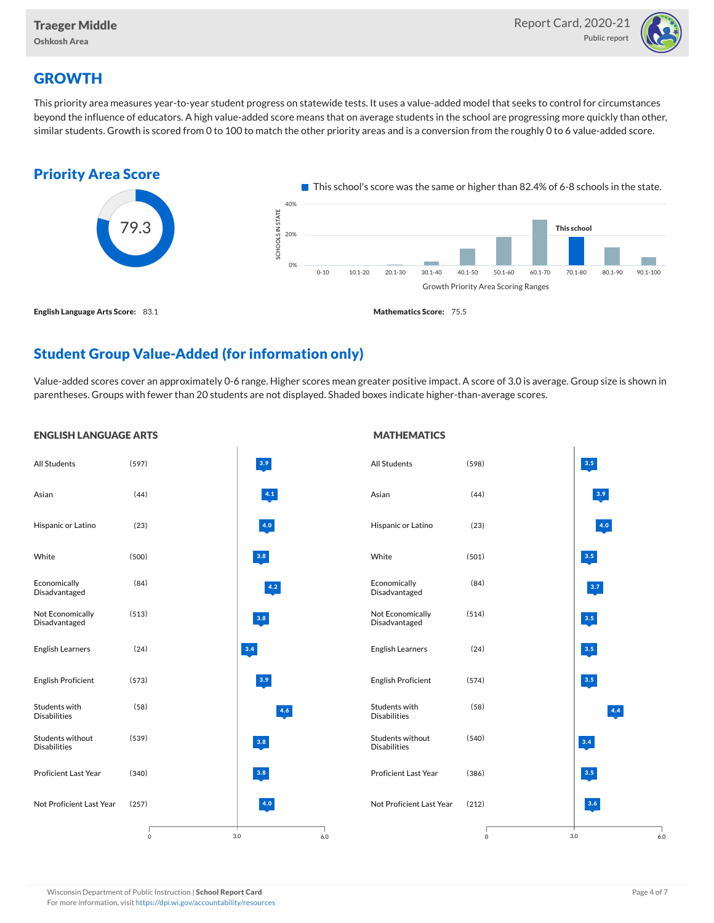

## **GROWTH**

This priority area measures year-to-year student progress on statewide tests. It uses a value-added model that seeks to control for circumstances beyond the influence of educators. A high value-added score means that on average students in the school are progressing more quickly than other, similar students. Growth is scored from 0 to 100 to match the other priority areas and is a conversion from the roughly 0 to 6 value-added score.



## Student Group Value-Added (for information only)

Value-added scores cover an approximately 0-6 range. Higher scores mean greater positive impact. A score of 3.0 is average. Group size is shown in parentheses. Groups with fewer than 20 students are not displayed. Shaded boxes indicate higher-than-average scores.

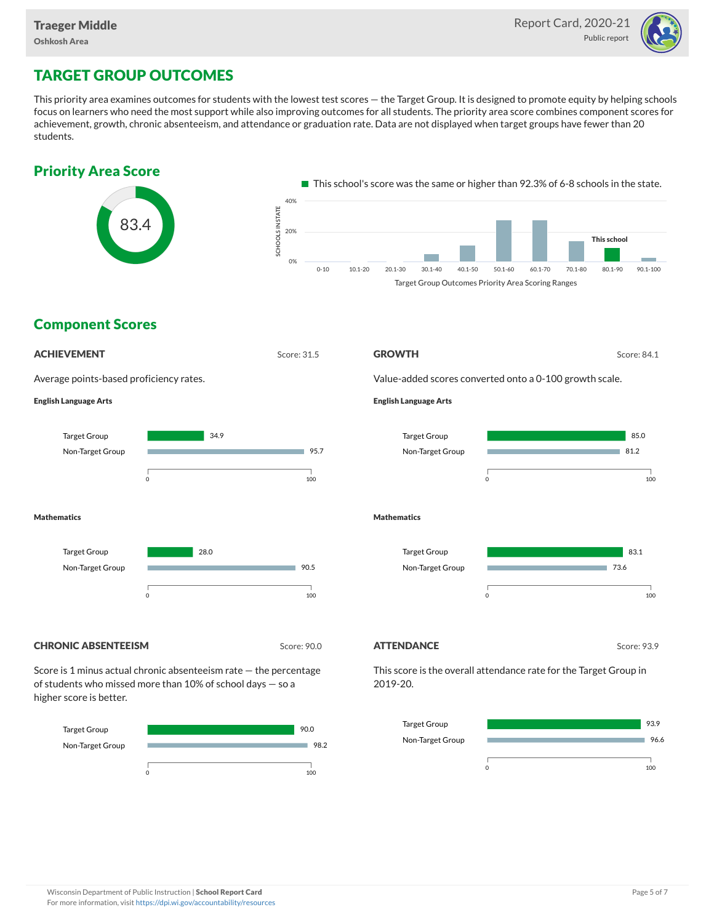

# TARGET GROUP OUTCOMES

This priority area examines outcomes for students with the lowest test scores — the Target Group. It is designed to promote equity by helping schools focus on learners who need the most support while also improving outcomes for all students. The priority area score combines component scores for achievement, growth, chronic absenteeism, and attendance or graduation rate. Data are not displayed when target groups have fewer than 20 students.





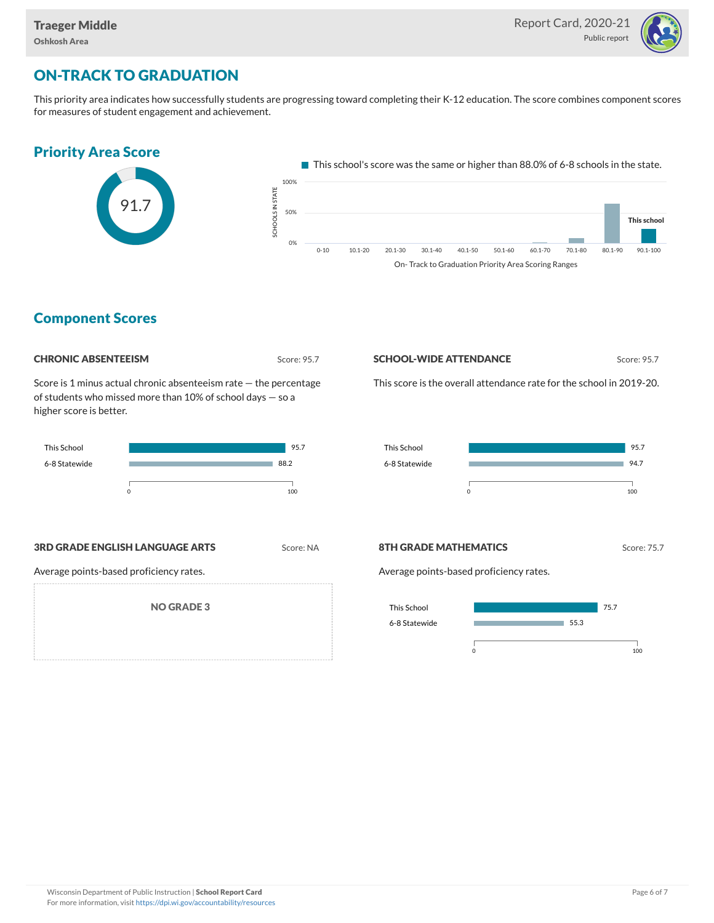

# ON-TRACK TO GRADUATION

This priority area indicates how successfully students are progressing toward completing their K-12 education. The score combines component scores for measures of student engagement and achievement.



### Component Scores

| <b>CHRONIC ABSENTEEISM</b> |  |
|----------------------------|--|
|                            |  |

Score: 95.7

Score is 1 minus actual chronic absenteeism rate — the percentage of students who missed more than 10% of school days — so a higher score is better.

| <b>This School</b> |  | 95.7 |
|--------------------|--|------|
| 6-8 Statewide      |  | 88.2 |
|                    |  | 100  |

## **3RD GRADE ENGLISH LANGUAGE ARTS** Score: NA

Average points-based proficiency rates.

NO GRADE 3

#### **SCHOOL-WIDE ATTENDANCE** Score: 95.7

This score is the overall attendance rate for the school in 2019-20.



#### 8TH GRADE MATHEMATICS Score: 75.7

Average points-based proficiency rates.